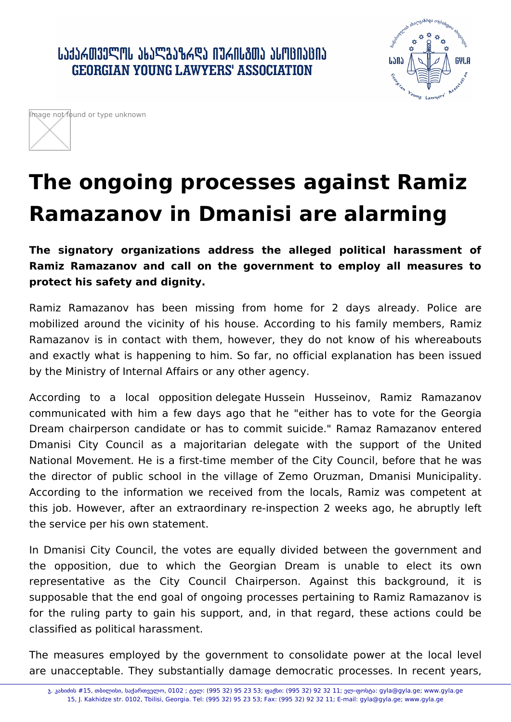## ᲡᲐᲥᲐᲠᲗᲕᲔᲚᲝᲡ ᲐᲮᲐᲚᲒᲐᲖᲠᲓᲐ ᲘᲣᲠᲘᲡᲒᲗᲐ ᲐᲡᲝᲪᲘᲐᲪᲘᲐ **GEORGIAN YOUNG LAWYERS' ASSOCIATION**





# **The ongoing processes against Ramiz Ramazanov in Dmanisi are alarming**

**The signatory organizations address the alleged political harassment of Ramiz Ramazanov and call on the government to employ all measures to protect his safety and dignity.**

Ramiz Ramazanov has been missing from home for 2 days already. Police are mobilized around the vicinity of his house. According to his family members, Ramiz Ramazanov is in contact with them, however, they do not know of his whereabouts and exactly what is happening to him. So far, no official explanation has been issued by the Ministry of Internal Affairs or any other agency.

According to a local opposition delegate Hussein Husseinov, Ramiz Ramazanov communicated with him a few days ago that he "either has to vote for the Georgia Dream chairperson candidate or has to commit suicide." Ramaz Ramazanov entered Dmanisi City Council as a majoritarian delegate with the support of the United National Movement. He is a first-time member of the City Council, before that he was the director of public school in the village of Zemo Oruzman, Dmanisi Municipality. According to the information we received from the locals, Ramiz was competent at this job. However, after an extraordinary re-inspection 2 weeks ago, he abruptly left the service per his own statement.

In Dmanisi City Council, the votes are equally divided between the government and the opposition, due to which the Georgian Dream is unable to elect its own representative as the City Council Chairperson. Against this background, it is supposable that the end goal of ongoing processes pertaining to Ramiz Ramazanov is for the ruling party to gain his support, and, in that regard, these actions could be classified as political harassment.

The measures employed by the government to consolidate power at the local level are unacceptable. They substantially damage democratic processes. In recent years,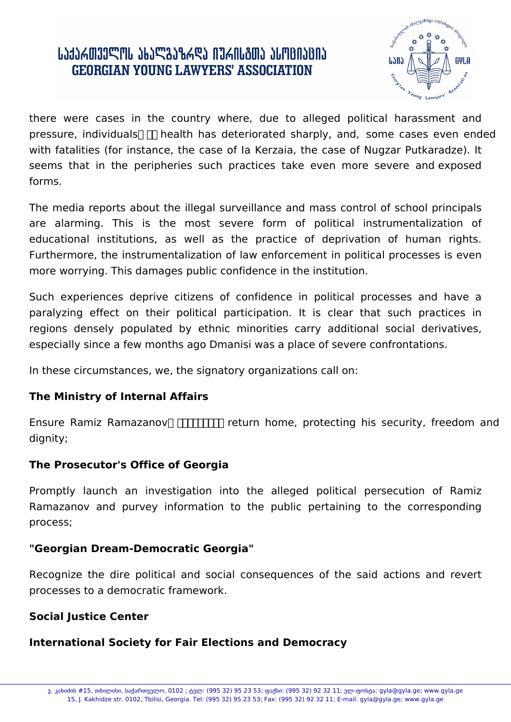## ᲡᲐᲥᲐᲠᲗᲕᲔᲚᲝᲡ ᲐᲮᲐᲚᲒᲐᲖᲠᲓᲐ ᲘᲣᲠᲘᲡᲒᲗᲐ ᲐᲡᲝᲪᲘᲐᲪᲘᲐ **GEORGIAN YOUNG LAWYERS' ASSOCIATION**



there were cases in the country where, due to alleged political harassment and pressure, individuals  $\Box$  health has deteriorated sharply, and, some cases even ended with fatalities (for instance, the case of Ia Kerzaia, the case of Nugzar Putkaradze). It seems that in the peripheries such practices take even more severe and exposed forms.

The media reports about the illegal surveillance and mass control of school principals are alarming. This is the most severe form of political instrumentalization of educational institutions, as well as the practice of deprivation of human rights. Furthermore, the instrumentalization of law enforcement in political processes is even more worrying. This damages public confidence in the institution.

Such experiences deprive citizens of confidence in political processes and have a paralyzing effect on their political participation. It is clear that such practices in regions densely populated by ethnic minorities carry additional social derivatives, especially since a few months ago Dmanisi was a place of severe confrontations.

In these circumstances, we, the signatory organizations call on:

#### **The Ministry of Internal Affairs**

Ensure Ramiz Ramazanov **TITITITI** return home, protecting his security, freedom and dignity;

### **The Prosecutor's Office of Georgia**

Promptly launch an investigation into the alleged political persecution of Ramiz Ramazanov and purvey information to the public pertaining to the corresponding process;

### **"Georgian Dream-Democratic Georgia"**

Recognize the dire political and social consequences of the said actions and revert processes to a democratic framework.

### **Social Justice Center**

### **International Society for Fair Elections and Democracy**

ჯ. კახიძის #15, თბილისი, საქართველო, 0102 ; ტელ: (995 32) 95 23 53; ფაქსი: (995 32) 92 32 11; ელ-ფოსტა: gyla@gyla.ge; www.gyla.ge 15, J. Kakhidze str. 0102, Tbilisi, Georgia. Tel: (995 32) 95 23 53; Fax: (995 32) 92 32 11; E-mail: gyla@gyla.ge; www.gyla.ge